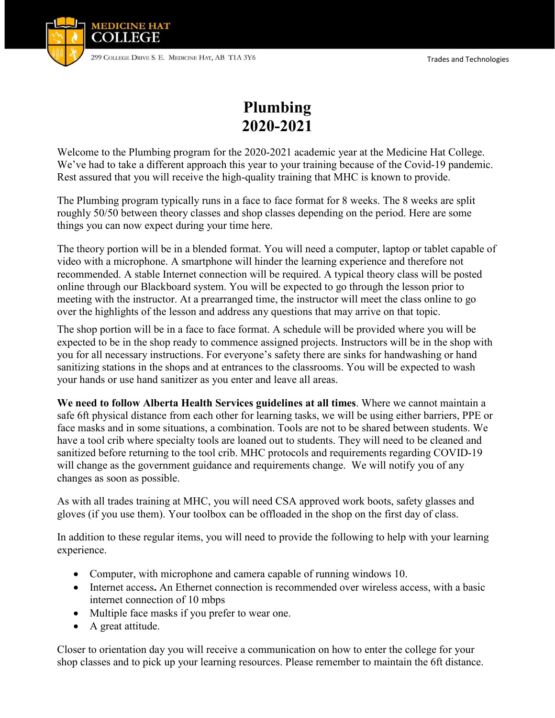

## **Plumbing 2020-2021**

Welcome to the Plumbing program for the 2020-2021 academic year at the Medicine Hat College. We've had to take a different approach this year to your training because of the Covid-19 pandemic. Rest assured that you will receive the high-quality training that MHC is known to provide.

The Plumbing program typically runs in a face to face format for 8 weeks. The 8 weeks are split roughly 50/50 between theory classes and shop classes depending on the period. Here are some things you can now expect during your time here.

The theory portion will be in a blended format. You will need a computer, laptop or tablet capable of video with a microphone. A smartphone will hinder the learning experience and therefore not recommended. A stable Internet connection will be required. A typical theory class will be posted online through our Blackboard system. You will be expected to go through the lesson prior to meeting with the instructor. At a prearranged time, the instructor will meet the class online to go over the highlights of the lesson and address any questions that may arrive on that topic.

The shop portion will be in a face to face format. A schedule will be provided where you will be expected to be in the shop ready to commence assigned projects. Instructors will be in the shop with you for all necessary instructions. For everyone's safety there are sinks for handwashing or hand sanitizing stations in the shops and at entrances to the classrooms. You will be expected to wash your hands or use hand sanitizer as you enter and leave all areas.

**We need to follow Alberta Health Services guidelines at all times**. Where we cannot maintain a safe 6ft physical distance from each other for learning tasks, we will be using either barriers, PPE or face masks and in some situations, a combination. Tools are not to be shared between students. We have a tool crib where specialty tools are loaned out to students. They will need to be cleaned and sanitized before returning to the tool crib. MHC protocols and requirements regarding COVID-19 will change as the government guidance and requirements change. We will notify you of any changes as soon as possible.

As with all trades training at MHC, you will need CSA approved work boots, safety glasses and gloves (if you use them). Your toolbox can be offloaded in the shop on the first day of class.

In addition to these regular items, you will need to provide the following to help with your learning experience.

- Computer, with microphone and camera capable of running windows 10.
- Internet access. An Ethernet connection is recommended over wireless access, with a basic internet connection of 10 mbps
- Multiple face masks if you prefer to wear one.
- A great attitude.

Closer to orientation day you will receive a communication on how to enter the college for your shop classes and to pick up your learning resources. Please remember to maintain the 6ft distance.